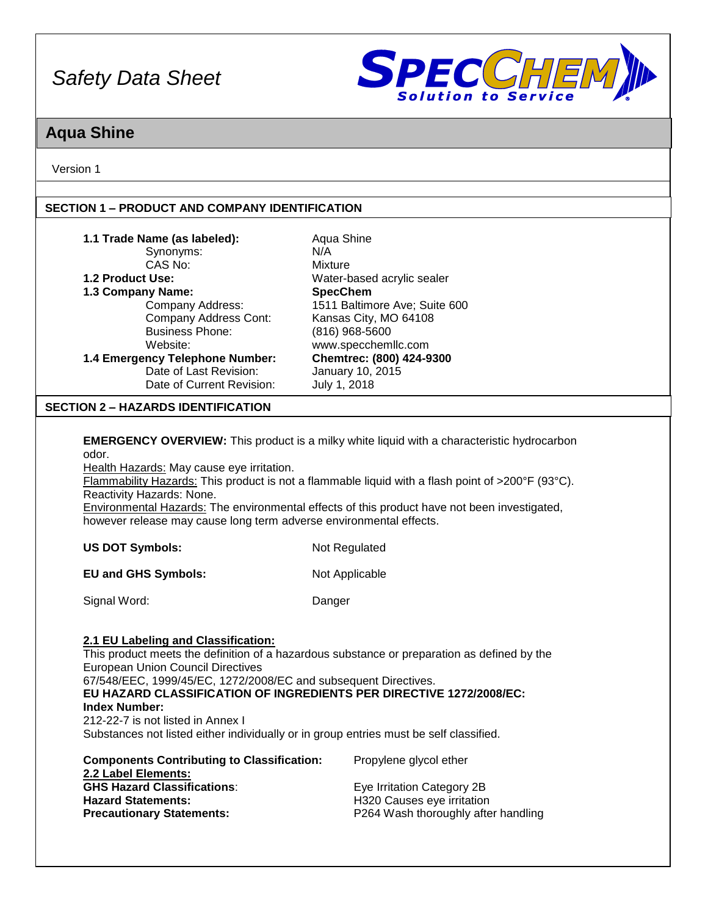

### **Aqua Shine**

Version 1

#### **SECTION 1 – PRODUCT AND COMPANY IDENTIFICATION**

| 1.1 Trade Name (as labeled):<br>Synonyms:<br>CAS No:<br>1.2 Product Use:<br>1.3 Company Name:<br>Company Address:<br>Company Address Cont:<br><b>Business Phone:</b><br>Website:<br>1.4 Emergency Telephone Number:<br>Date of Last Revision:<br>Date of Current Revision:                                                                                                                                                                                   | Aqua Shine<br>N/A<br>Mixture<br>Water-based acrylic sealer<br><b>SpecChem</b><br>1511 Baltimore Ave; Suite 600<br>Kansas City, MO 64108<br>(816) 968-5600<br>www.specchemllc.com<br>Chemtrec: (800) 424-9300<br>January 10, 2015<br>July 1, 2018                                                       |
|--------------------------------------------------------------------------------------------------------------------------------------------------------------------------------------------------------------------------------------------------------------------------------------------------------------------------------------------------------------------------------------------------------------------------------------------------------------|--------------------------------------------------------------------------------------------------------------------------------------------------------------------------------------------------------------------------------------------------------------------------------------------------------|
| <b>SECTION 2 - HAZARDS IDENTIFICATION</b>                                                                                                                                                                                                                                                                                                                                                                                                                    |                                                                                                                                                                                                                                                                                                        |
| odor.<br>Health Hazards: May cause eye irritation.<br>Reactivity Hazards: None.<br>however release may cause long term adverse environmental effects.                                                                                                                                                                                                                                                                                                        | <b>EMERGENCY OVERVIEW:</b> This product is a milky white liquid with a characteristic hydrocarbon<br>Flammability Hazards: This product is not a flammable liquid with a flash point of >200°F (93°C).<br>Environmental Hazards: The environmental effects of this product have not been investigated, |
| <b>US DOT Symbols:</b>                                                                                                                                                                                                                                                                                                                                                                                                                                       | Not Regulated                                                                                                                                                                                                                                                                                          |
| <b>EU and GHS Symbols:</b>                                                                                                                                                                                                                                                                                                                                                                                                                                   | Not Applicable                                                                                                                                                                                                                                                                                         |
| Signal Word:                                                                                                                                                                                                                                                                                                                                                                                                                                                 | Danger                                                                                                                                                                                                                                                                                                 |
| 2.1 EU Labeling and Classification:<br><b>European Union Council Directives</b><br>67/548/EEC, 1999/45/EC, 1272/2008/EC and subsequent Directives.<br>EU HAZARD CLASSIFICATION OF INGREDIENTS PER DIRECTIVE 1272/2008/EC:<br><b>Index Number:</b><br>212-22-7 is not listed in Annex I<br>Substances not listed either individually or in group entries must be self classified.<br><b>Components Contributing to Classification:</b><br>2.2 Label Elements: | This product meets the definition of a hazardous substance or preparation as defined by the<br>Propylene glycol ether                                                                                                                                                                                  |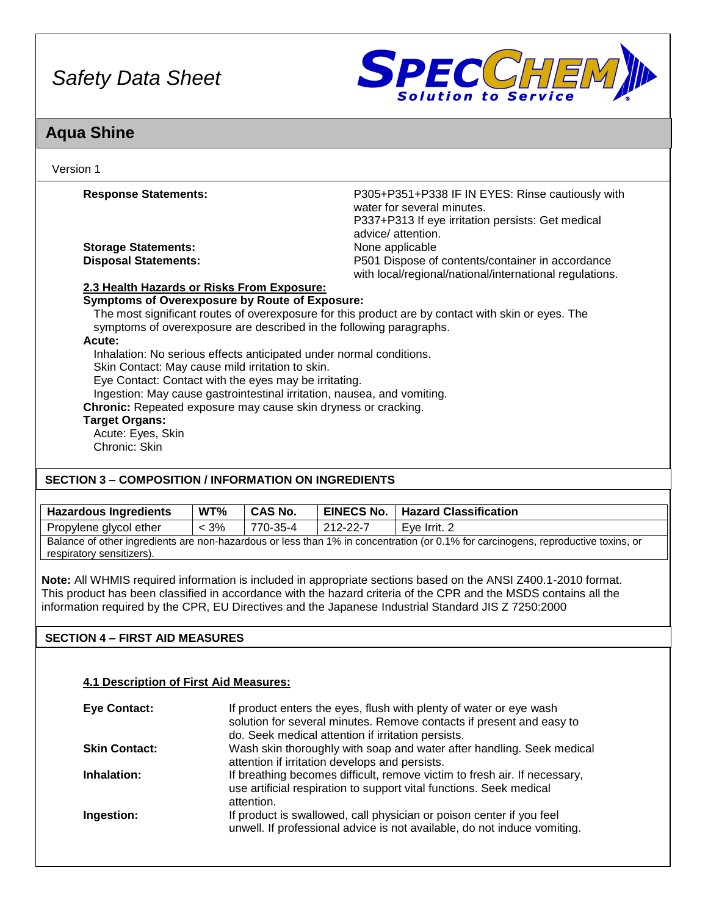

### **Aqua Shine**

| Version 1                                                                                                                                                                                                                                                                                                                                                                                                                                                                                                                              |                                                                                                                                                           |
|----------------------------------------------------------------------------------------------------------------------------------------------------------------------------------------------------------------------------------------------------------------------------------------------------------------------------------------------------------------------------------------------------------------------------------------------------------------------------------------------------------------------------------------|-----------------------------------------------------------------------------------------------------------------------------------------------------------|
| <b>Response Statements:</b>                                                                                                                                                                                                                                                                                                                                                                                                                                                                                                            | P305+P351+P338 IF IN EYES: Rinse cautiously with<br>water for several minutes.<br>P337+P313 If eye irritation persists: Get medical<br>advice/ attention. |
| <b>Storage Statements:</b>                                                                                                                                                                                                                                                                                                                                                                                                                                                                                                             | None applicable                                                                                                                                           |
| <b>Disposal Statements:</b>                                                                                                                                                                                                                                                                                                                                                                                                                                                                                                            | P501 Dispose of contents/container in accordance<br>with local/regional/national/international regulations.                                               |
| 2.3 Health Hazards or Risks From Exposure:                                                                                                                                                                                                                                                                                                                                                                                                                                                                                             |                                                                                                                                                           |
| <b>Symptoms of Overexposure by Route of Exposure:</b><br>symptoms of overexposure are described in the following paragraphs.<br>Acute:<br>Inhalation: No serious effects anticipated under normal conditions.<br>Skin Contact: May cause mild irritation to skin.<br>Eye Contact: Contact with the eyes may be irritating.<br>Ingestion: May cause gastrointestinal irritation, nausea, and vomiting.<br>Chronic: Repeated exposure may cause skin dryness or cracking.<br><b>Target Organs:</b><br>Acute: Eyes, Skin<br>Chronic: Skin | The most significant routes of overexposure for this product are by contact with skin or eyes. The                                                        |
| <b>SECTION 3 – COMPOSITION / INFORMATION ON INGREDIENTS</b>                                                                                                                                                                                                                                                                                                                                                                                                                                                                            |                                                                                                                                                           |

| <b>Hazardous Ingredients</b>                                                                                                      | WT%     | <b>CAS No.</b> |          | <b>EINECS No.   Hazard Classification</b> |
|-----------------------------------------------------------------------------------------------------------------------------------|---------|----------------|----------|-------------------------------------------|
| Propylene glycol ether                                                                                                            | $< 3\%$ | 770-35-4       | 212-22-7 | Eve Irrit, 2                              |
| Balance of other ingredients are non-hazardous or less than 1% in concentration (or 0.1% for carcinogens, reproductive toxins, or |         |                |          |                                           |
| respiratory sensitizers).                                                                                                         |         |                |          |                                           |

**Note:** All WHMIS required information is included in appropriate sections based on the ANSI Z400.1-2010 format. This product has been classified in accordance with the hazard criteria of the CPR and the MSDS contains all the information required by the CPR, EU Directives and the Japanese Industrial Standard JIS Z 7250:2000

### **SECTION 4 – FIRST AID MEASURES**

#### **4.1 Description of First Aid Measures:**

| Eye Contact:         | If product enters the eyes, flush with plenty of water or eye wash<br>solution for several minutes. Remove contacts if present and easy to<br>do. Seek medical attention if irritation persists. |
|----------------------|--------------------------------------------------------------------------------------------------------------------------------------------------------------------------------------------------|
| <b>Skin Contact:</b> | Wash skin thoroughly with soap and water after handling. Seek medical<br>attention if irritation develops and persists.                                                                          |
| Inhalation:          | If breathing becomes difficult, remove victim to fresh air. If necessary,<br>use artificial respiration to support vital functions. Seek medical<br>attention.                                   |
| Ingestion:           | If product is swallowed, call physician or poison center if you feel<br>unwell. If professional advice is not available, do not induce vomiting.                                                 |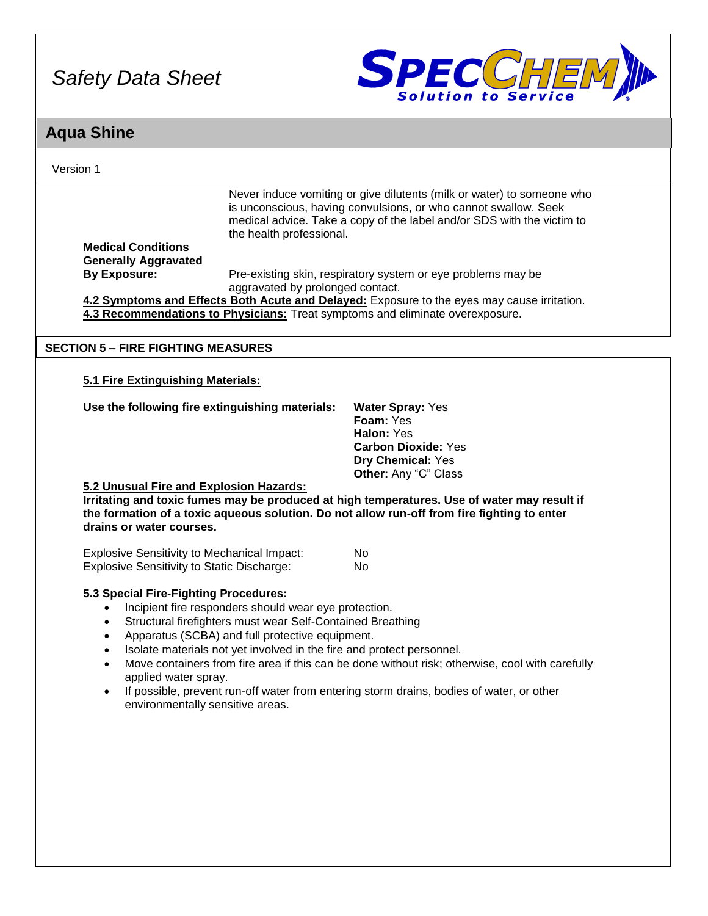

### **Aqua Shine**

| Version 1                                                                                                                                             |                                                                                                                                                                                                                                                 |                                                                                                                                                                                                                     |
|-------------------------------------------------------------------------------------------------------------------------------------------------------|-------------------------------------------------------------------------------------------------------------------------------------------------------------------------------------------------------------------------------------------------|---------------------------------------------------------------------------------------------------------------------------------------------------------------------------------------------------------------------|
| <b>Medical Conditions</b>                                                                                                                             | the health professional.                                                                                                                                                                                                                        | Never induce vomiting or give dilutents (milk or water) to someone who<br>is unconscious, having convulsions, or who cannot swallow. Seek<br>medical advice. Take a copy of the label and/or SDS with the victim to |
| <b>Generally Aggravated</b><br><b>By Exposure:</b>                                                                                                    |                                                                                                                                                                                                                                                 |                                                                                                                                                                                                                     |
|                                                                                                                                                       | aggravated by prolonged contact.                                                                                                                                                                                                                | Pre-existing skin, respiratory system or eye problems may be                                                                                                                                                        |
|                                                                                                                                                       |                                                                                                                                                                                                                                                 | 4.2 Symptoms and Effects Both Acute and Delayed: Exposure to the eyes may cause irritation.                                                                                                                         |
|                                                                                                                                                       |                                                                                                                                                                                                                                                 | 4.3 Recommendations to Physicians: Treat symptoms and eliminate overexposure.                                                                                                                                       |
| <b>SECTION 5 - FIRE FIGHTING MEASURES</b>                                                                                                             |                                                                                                                                                                                                                                                 |                                                                                                                                                                                                                     |
| 5.1 Fire Extinguishing Materials:                                                                                                                     |                                                                                                                                                                                                                                                 |                                                                                                                                                                                                                     |
| Use the following fire extinguishing materials:                                                                                                       |                                                                                                                                                                                                                                                 | <b>Water Spray: Yes</b><br>Foam: Yes<br>Halon: Yes<br><b>Carbon Dioxide: Yes</b><br>Dry Chemical: Yes<br>Other: Any "C" Class                                                                                       |
| 5.2 Unusual Fire and Explosion Hazards:<br>drains or water courses.                                                                                   |                                                                                                                                                                                                                                                 | Irritating and toxic fumes may be produced at high temperatures. Use of water may result if<br>the formation of a toxic aqueous solution. Do not allow run-off from fire fighting to enter                          |
| <b>Explosive Sensitivity to Mechanical Impact:</b>                                                                                                    |                                                                                                                                                                                                                                                 | No.                                                                                                                                                                                                                 |
| <b>Explosive Sensitivity to Static Discharge:</b>                                                                                                     |                                                                                                                                                                                                                                                 | No                                                                                                                                                                                                                  |
| 5.3 Special Fire-Fighting Procedures:<br>$\bullet$<br>$\bullet$<br>$\bullet$<br>$\bullet$<br>applied water spray.<br>environmentally sensitive areas. | Incipient fire responders should wear eye protection.<br>Structural firefighters must wear Self-Contained Breathing<br>Apparatus (SCBA) and full protective equipment.<br>Isolate materials not yet involved in the fire and protect personnel. | Move containers from fire area if this can be done without risk; otherwise, cool with carefully<br>If possible, prevent run-off water from entering storm drains, bodies of water, or other                         |
|                                                                                                                                                       |                                                                                                                                                                                                                                                 |                                                                                                                                                                                                                     |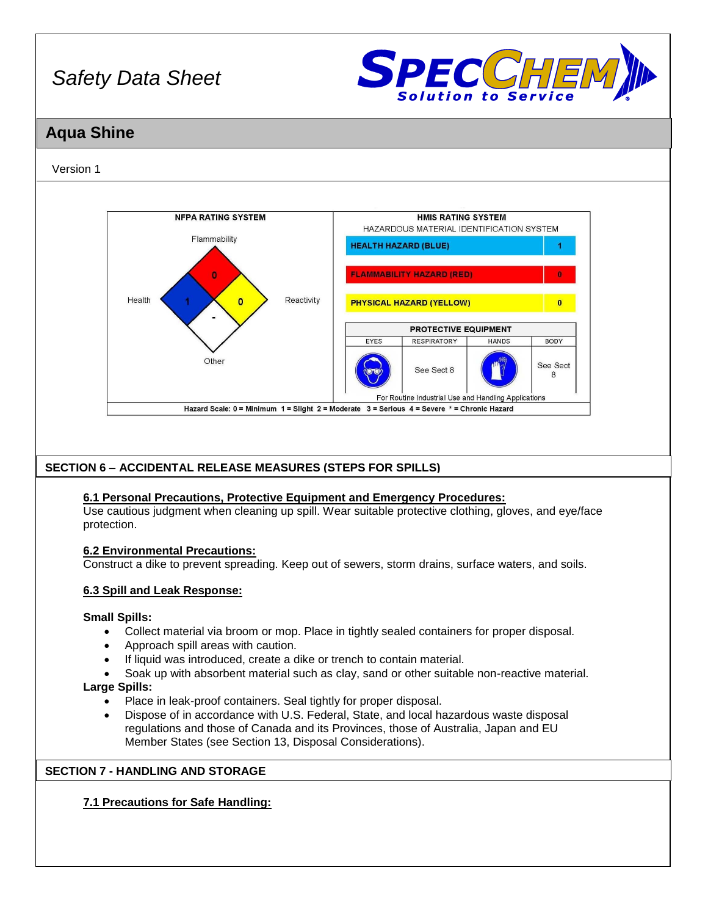

### **Aqua Shine**

#### Version 1



#### **SECTION 6 – ACCIDENTAL RELEASE MEASURES (STEPS FOR SPILLS)**

#### **6.1 Personal Precautions, Protective Equipment and Emergency Procedures:**

Use cautious judgment when cleaning up spill. Wear suitable protective clothing, gloves, and eye/face protection.

#### **6.2 Environmental Precautions:**

Construct a dike to prevent spreading. Keep out of sewers, storm drains, surface waters, and soils.

#### **6.3 Spill and Leak Response:**

#### **Small Spills:**

- Collect material via broom or mop. Place in tightly sealed containers for proper disposal.
- Approach spill areas with caution.
- If liquid was introduced, create a dike or trench to contain material.
- Soak up with absorbent material such as clay, sand or other suitable non-reactive material.

#### **Large Spills:**

- Place in leak-proof containers. Seal tightly for proper disposal.
- Dispose of in accordance with U.S. Federal, State, and local hazardous waste disposal regulations and those of Canada and its Provinces, those of Australia, Japan and EU Member States (see Section 13, Disposal Considerations).

#### **SECTION 7 - HANDLING AND STORAGE**

#### **7.1 Precautions for Safe Handling:**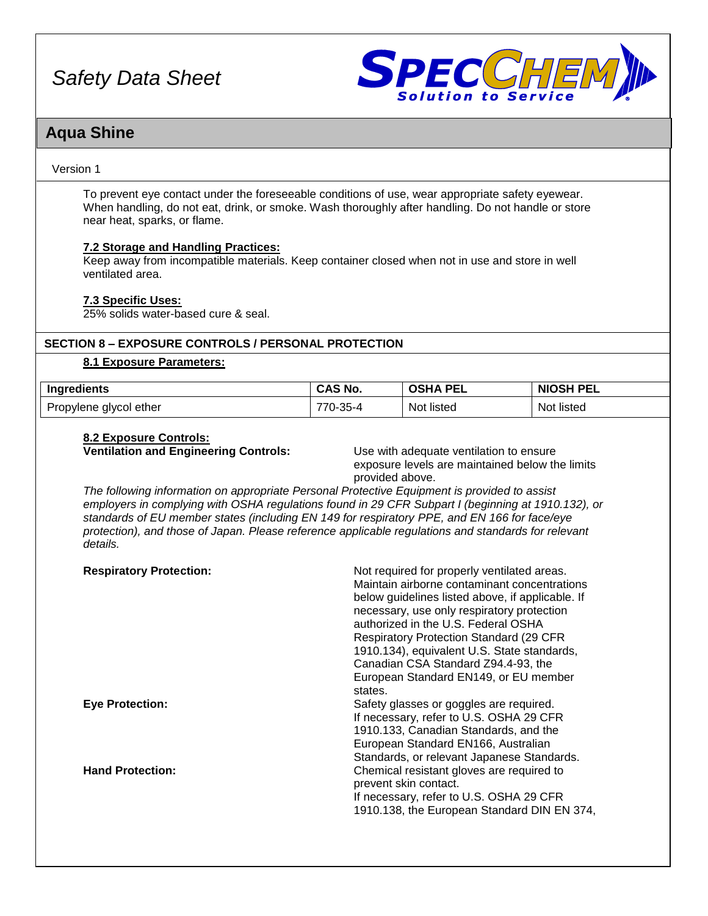

### **Aqua Shine**

#### Version 1

To prevent eye contact under the foreseeable conditions of use, wear appropriate safety eyewear. When handling, do not eat, drink, or smoke. Wash thoroughly after handling. Do not handle or store near heat, sparks, or flame.

#### **7.2 Storage and Handling Practices:**

Keep away from incompatible materials. Keep container closed when not in use and store in well ventilated area.

#### **7.3 Specific Uses:**

25% solids water-based cure & seal.

#### **SECTION 8 – EXPOSURE CONTROLS / PERSONAL PROTECTION**

#### **8.1 Exposure Parameters:**

| <b>Ingredients</b>    | `^S No.                        | PEL         | <b>PEL</b>      |
|-----------------------|--------------------------------|-------------|-----------------|
|                       | unu                            | <b>OSHA</b> | <b>NIOSH</b>    |
| ropylene glycol ether | $\sim$ $\sim$<br>770<br>. ახ-4 | Not listed  | .<br>Not listed |

#### **8.2 Exposure Controls:**

**Ventilation and Engineering Controls:** Use with adequate ventilation to ensure

exposure levels are maintained below the limits provided above.

*The following information on appropriate Personal Protective Equipment is provided to assist employers in complying with OSHA regulations found in 29 CFR Subpart I (beginning at 1910.132), or standards of EU member states (including EN 149 for respiratory PPE, and EN 166 for face/eye protection), and those of Japan. Please reference applicable regulations and standards for relevant details.*

| <b>Respiratory Protection:</b> | Not required for properly ventilated areas.<br>Maintain airborne contaminant concentrations<br>below guidelines listed above, if applicable. If<br>necessary, use only respiratory protection<br>authorized in the U.S. Federal OSHA<br><b>Respiratory Protection Standard (29 CFR</b><br>1910.134), equivalent U.S. State standards,<br>Canadian CSA Standard Z94.4-93, the<br>European Standard EN149, or EU member<br>states. |
|--------------------------------|----------------------------------------------------------------------------------------------------------------------------------------------------------------------------------------------------------------------------------------------------------------------------------------------------------------------------------------------------------------------------------------------------------------------------------|
| <b>Eye Protection:</b>         | Safety glasses or goggles are required.<br>If necessary, refer to U.S. OSHA 29 CFR<br>1910.133, Canadian Standards, and the<br>European Standard EN166, Australian<br>Standards, or relevant Japanese Standards.                                                                                                                                                                                                                 |
| <b>Hand Protection:</b>        | Chemical resistant gloves are required to<br>prevent skin contact.<br>If necessary, refer to U.S. OSHA 29 CFR<br>1910.138, the European Standard DIN EN 374,                                                                                                                                                                                                                                                                     |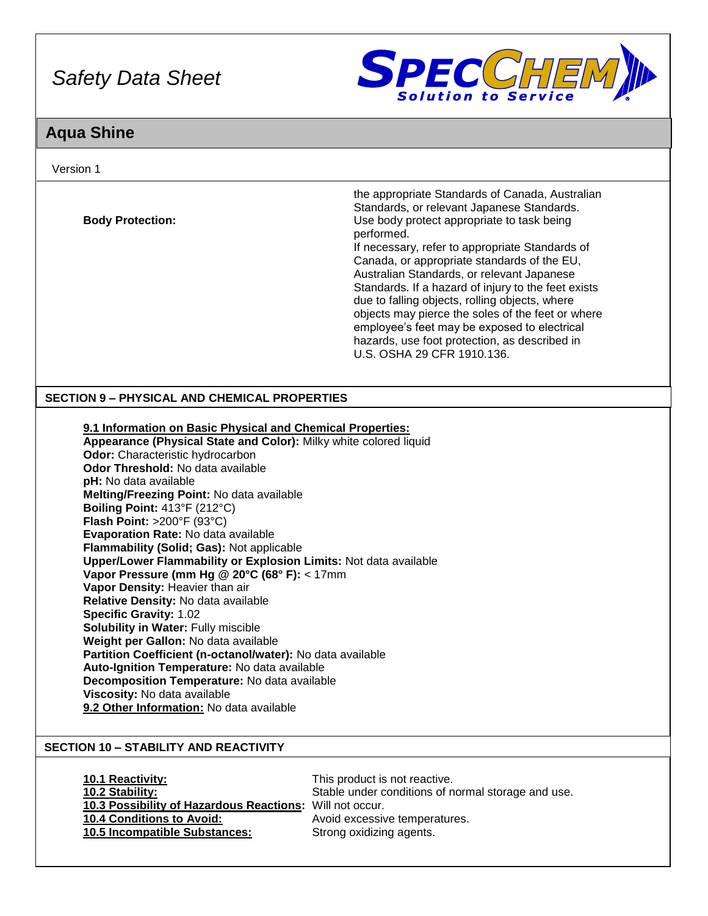

# **Aqua Shine**

| Version 1                                                                                                                                                                                                                                                                                                                                                                                                                                                                                                                                                                                                                                                                                                                                                                                                                                                                                                                                                                                |                                                                                                                                                                                                                                                                                                                                                                                                                                                                                                                                                                                                        |
|------------------------------------------------------------------------------------------------------------------------------------------------------------------------------------------------------------------------------------------------------------------------------------------------------------------------------------------------------------------------------------------------------------------------------------------------------------------------------------------------------------------------------------------------------------------------------------------------------------------------------------------------------------------------------------------------------------------------------------------------------------------------------------------------------------------------------------------------------------------------------------------------------------------------------------------------------------------------------------------|--------------------------------------------------------------------------------------------------------------------------------------------------------------------------------------------------------------------------------------------------------------------------------------------------------------------------------------------------------------------------------------------------------------------------------------------------------------------------------------------------------------------------------------------------------------------------------------------------------|
| <b>Body Protection:</b>                                                                                                                                                                                                                                                                                                                                                                                                                                                                                                                                                                                                                                                                                                                                                                                                                                                                                                                                                                  | the appropriate Standards of Canada, Australian<br>Standards, or relevant Japanese Standards.<br>Use body protect appropriate to task being<br>performed.<br>If necessary, refer to appropriate Standards of<br>Canada, or appropriate standards of the EU,<br>Australian Standards, or relevant Japanese<br>Standards. If a hazard of injury to the feet exists<br>due to falling objects, rolling objects, where<br>objects may pierce the soles of the feet or where<br>employee's feet may be exposed to electrical<br>hazards, use foot protection, as described in<br>U.S. OSHA 29 CFR 1910.136. |
| <b>SECTION 9 - PHYSICAL AND CHEMICAL PROPERTIES</b>                                                                                                                                                                                                                                                                                                                                                                                                                                                                                                                                                                                                                                                                                                                                                                                                                                                                                                                                      |                                                                                                                                                                                                                                                                                                                                                                                                                                                                                                                                                                                                        |
| 9.1 Information on Basic Physical and Chemical Properties:<br>Appearance (Physical State and Color): Milky white colored liquid<br>Odor: Characteristic hydrocarbon<br>Odor Threshold: No data available<br>pH: No data available<br>Melting/Freezing Point: No data available<br>Boiling Point: 413°F (212°C)<br>Flash Point: >200°F (93°C)<br>Evaporation Rate: No data available<br>Flammability (Solid; Gas): Not applicable<br>Upper/Lower Flammability or Explosion Limits: Not data available<br>Vapor Pressure (mm Hg @ 20°C (68° F): < 17mm<br>Vapor Density: Heavier than air<br>Relative Density: No data available<br><b>Specific Gravity: 1.02</b><br>Solubility in Water: Fully miscible<br>Weight per Gallon: No data available<br>Partition Coefficient (n-octanol/water): No data available<br>Auto-Ignition Temperature: No data available<br>Decomposition Temperature: No data available<br>Viscosity: No data available<br>9.2 Other Information: No data available |                                                                                                                                                                                                                                                                                                                                                                                                                                                                                                                                                                                                        |
| <b>SECTION 10 - STABILITY AND REACTIVITY</b><br>10.1 Reactivity:<br>10.2 Stability:<br>10.3 Possibility of Hazardous Reactions: Will not occur.<br>10.4 Conditions to Avoid:<br>10.5 Incompatible Substances:                                                                                                                                                                                                                                                                                                                                                                                                                                                                                                                                                                                                                                                                                                                                                                            | This product is not reactive.<br>Stable under conditions of normal storage and use.<br>Avoid excessive temperatures.<br>Strong oxidizing agents.                                                                                                                                                                                                                                                                                                                                                                                                                                                       |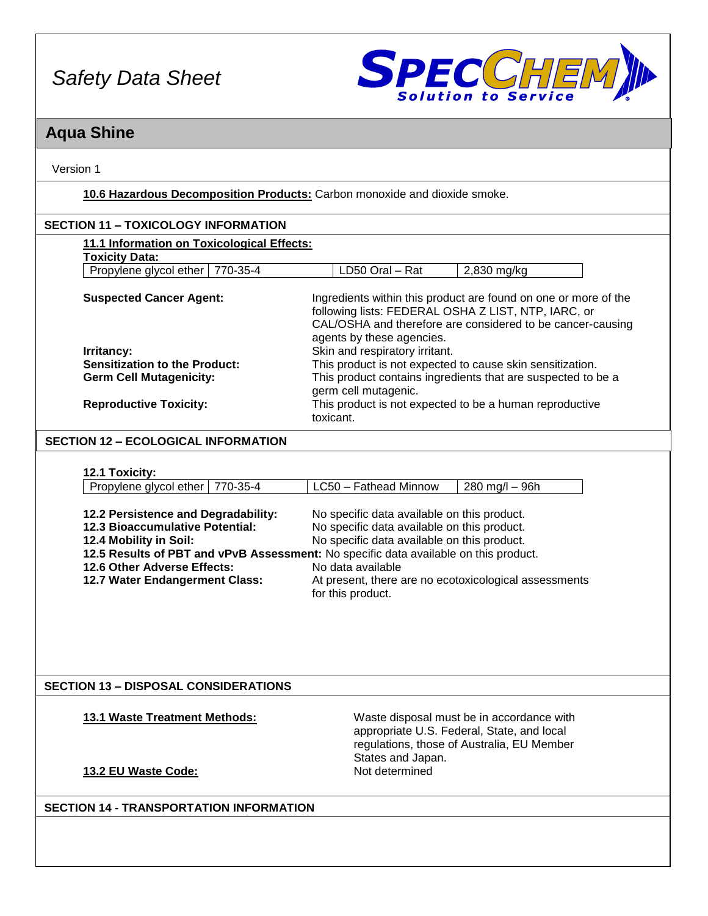

### **Aqua Shine**

Version 1

**10.6 Hazardous Decomposition Products:** Carbon monoxide and dioxide smoke.

| 11.1 Information on Toxicological Effects:                             |                                                                                                                                                                                                                                                     |
|------------------------------------------------------------------------|-----------------------------------------------------------------------------------------------------------------------------------------------------------------------------------------------------------------------------------------------------|
| <b>Toxicity Data:</b>                                                  |                                                                                                                                                                                                                                                     |
| Propylene glycol ether<br>770-35-4                                     | LD50 Oral - Rat<br>$2,830$ mg/kg                                                                                                                                                                                                                    |
| <b>Suspected Cancer Agent:</b><br>Irritancy:                           | Ingredients within this product are found on one or more of the<br>following lists: FEDERAL OSHA Z LIST, NTP, IARC, or<br>CAL/OSHA and therefore are considered to be cancer-causing<br>agents by these agencies.<br>Skin and respiratory irritant. |
| <b>Sensitization to the Product:</b><br><b>Germ Cell Mutagenicity:</b> | This product is not expected to cause skin sensitization.<br>This product contains ingredients that are suspected to be a<br>germ cell mutagenic.                                                                                                   |
| <b>Reproductive Toxicity:</b>                                          | This product is not expected to be a human reproductive<br>toxicant.                                                                                                                                                                                |

#### **SECTION 12 – ECOLOGICAL INFORMATION**

| Propylene glycol ether   770-35-4                                      | LC50 - Fathead Minnow                       | 280 mg/l – 96h |
|------------------------------------------------------------------------|---------------------------------------------|----------------|
|                                                                        |                                             |                |
|                                                                        | No specific data available on this product. |                |
| 12.2 Persistence and Degradability:<br>12.3 Bioaccumulative Potential: | No specific data available on this product. |                |

#### **12.5 Results of PBT and vPvB Assessment:** No specific data available on this product. **12.6 Other Adverse Effects:** No data available **12.7 Water Endangerment Class:** At present, there are no ecotoxicological assessments for this product.

#### **SECTION 13 – DISPOSAL CONSIDERATIONS**

**13.1 Waste Treatment Methods:** Waste disposal must be in accordance with appropriate U.S. Federal, State, and local regulations, those of Australia, EU Member States and Japan.<br>Not determined

#### **13.2 EU Waste Code:**

#### **SECTION 14 - TRANSPORTATION INFORMATION**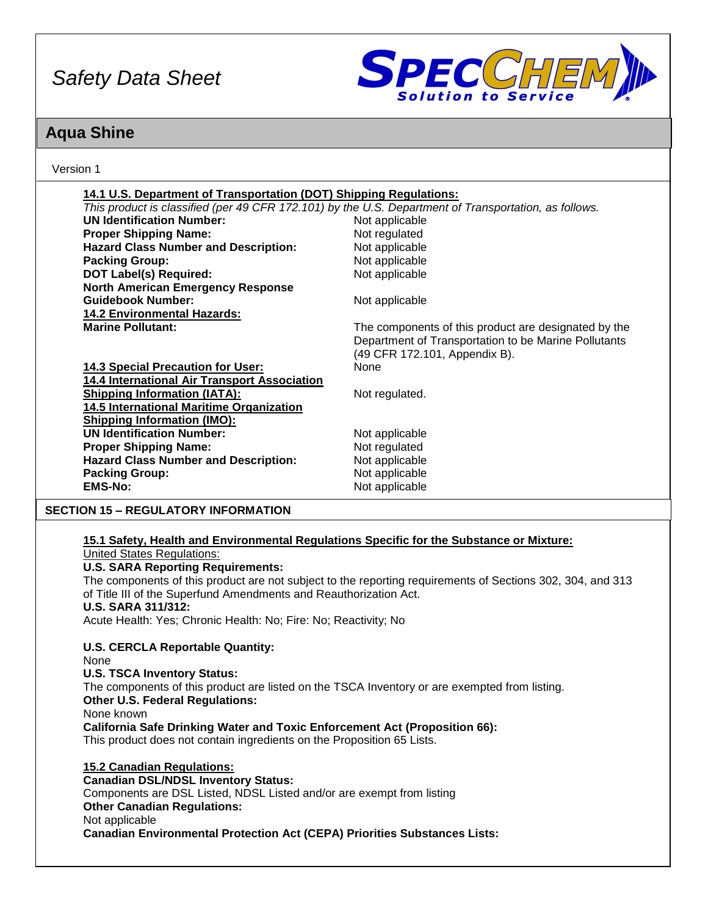

### **Aqua Shine**

Version 1

| 14.1 U.S. Department of Transportation (DOT) Shipping Regulations:                                 |                                                                                                            |
|----------------------------------------------------------------------------------------------------|------------------------------------------------------------------------------------------------------------|
|                                                                                                    |                                                                                                            |
|                                                                                                    | This product is classified (per 49 CFR 172.101) by the U.S. Department of Transportation, as follows.      |
| <b>UN Identification Number:</b>                                                                   | Not applicable                                                                                             |
| <b>Proper Shipping Name:</b>                                                                       | Not regulated                                                                                              |
| <b>Hazard Class Number and Description:</b>                                                        | Not applicable                                                                                             |
| <b>Packing Group:</b>                                                                              | Not applicable                                                                                             |
| <b>DOT Label(s) Required:</b>                                                                      | Not applicable                                                                                             |
| <b>North American Emergency Response</b>                                                           |                                                                                                            |
| <b>Guidebook Number:</b>                                                                           | Not applicable                                                                                             |
| <b>14.2 Environmental Hazards:</b>                                                                 |                                                                                                            |
| <b>Marine Pollutant:</b>                                                                           | The components of this product are designated by the                                                       |
|                                                                                                    | Department of Transportation to be Marine Pollutants                                                       |
|                                                                                                    | (49 CFR 172.101, Appendix B).                                                                              |
| <b>14.3 Special Precaution for User:</b>                                                           | None                                                                                                       |
| 14.4 International Air Transport Association                                                       |                                                                                                            |
| <b>Shipping Information (IATA):</b>                                                                | Not regulated.                                                                                             |
| 14.5 International Maritime Organization                                                           |                                                                                                            |
| <b>Shipping Information (IMO):</b>                                                                 |                                                                                                            |
| <b>UN Identification Number:</b>                                                                   | Not applicable                                                                                             |
| <b>Proper Shipping Name:</b>                                                                       | Not regulated                                                                                              |
| <b>Hazard Class Number and Description:</b>                                                        | Not applicable                                                                                             |
| <b>Packing Group:</b>                                                                              | Not applicable                                                                                             |
| <b>EMS-No:</b>                                                                                     | Not applicable                                                                                             |
|                                                                                                    |                                                                                                            |
| <b>SECTION 15 - REGULATORY INFORMATION</b>                                                         |                                                                                                            |
|                                                                                                    |                                                                                                            |
| 15.1 Safety, Health and Environmental Regulations Specific for the Substance or Mixture:           |                                                                                                            |
| <b>United States Regulations:</b>                                                                  |                                                                                                            |
|                                                                                                    |                                                                                                            |
| <b>U.S. SARA Reporting Requirements:</b>                                                           |                                                                                                            |
|                                                                                                    | The components of this product are not subject to the reporting requirements of Sections 302, 304, and 313 |
| of Title III of the Superfund Amendments and Reauthorization Act.                                  |                                                                                                            |
| <b>U.S. SARA 311/312:</b>                                                                          |                                                                                                            |
| Acute Health: Yes; Chronic Health: No; Fire: No; Reactivity; No                                    |                                                                                                            |
|                                                                                                    |                                                                                                            |
| <b>U.S. CERCLA Reportable Quantity:</b>                                                            |                                                                                                            |
| None                                                                                               |                                                                                                            |
| <b>U.S. TSCA Inventory Status:</b>                                                                 |                                                                                                            |
| The components of this product are listed on the TSCA Inventory or are exempted from listing.      |                                                                                                            |
| <b>Other U.S. Federal Regulations:</b>                                                             |                                                                                                            |
| None known                                                                                         |                                                                                                            |
| <b>California Safe Drinking Water and Toxic Enforcement Act (Proposition 66):</b>                  |                                                                                                            |
| This product does not contain ingredients on the Proposition 65 Lists.                             |                                                                                                            |
|                                                                                                    |                                                                                                            |
| <b>15.2 Canadian Regulations:</b>                                                                  |                                                                                                            |
| <b>Canadian DSL/NDSL Inventory Status:</b>                                                         |                                                                                                            |
| Components are DSL Listed, NDSL Listed and/or are exempt from listing                              |                                                                                                            |
| <b>Other Canadian Regulations:</b>                                                                 |                                                                                                            |
| Not applicable<br><b>Canadian Environmental Protection Act (CEPA) Priorities Substances Lists:</b> |                                                                                                            |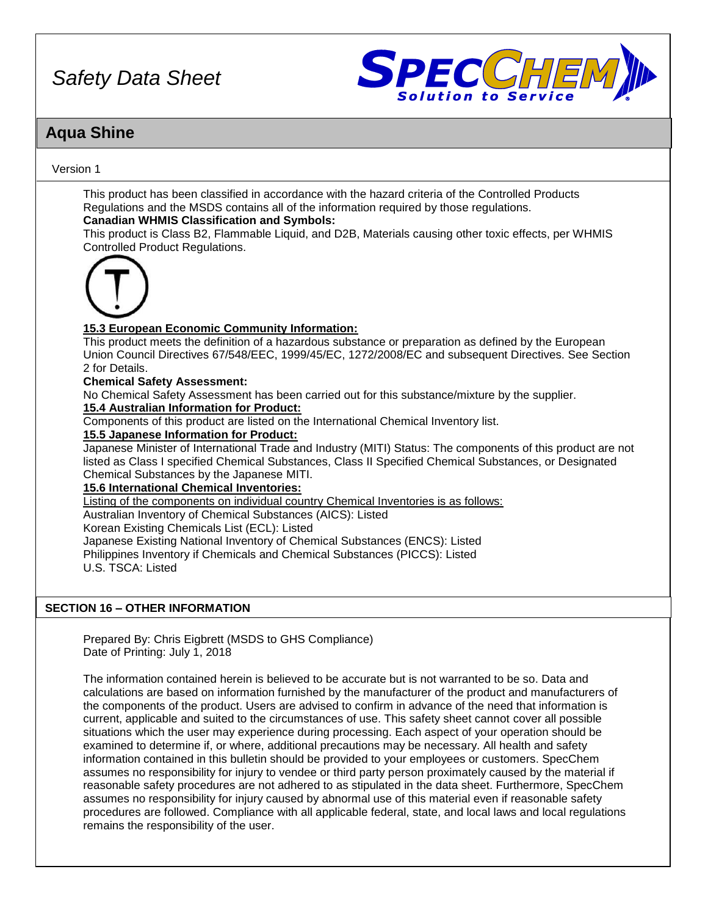

### **Aqua Shine**

#### Version 1

This product has been classified in accordance with the hazard criteria of the Controlled Products Regulations and the MSDS contains all of the information required by those regulations.

#### **Canadian WHMIS Classification and Symbols:**

This product is Class B2, Flammable Liquid, and D2B, Materials causing other toxic effects, per WHMIS Controlled Product Regulations.



#### **15.3 European Economic Community Information:**

This product meets the definition of a hazardous substance or preparation as defined by the European Union Council Directives 67/548/EEC, 1999/45/EC, 1272/2008/EC and subsequent Directives. See Section 2 for Details.

**Chemical Safety Assessment:**

No Chemical Safety Assessment has been carried out for this substance/mixture by the supplier.

#### **15.4 Australian Information for Product:**

Components of this product are listed on the International Chemical Inventory list.

#### **15.5 Japanese Information for Product:**

Japanese Minister of International Trade and Industry (MITI) Status: The components of this product are not listed as Class I specified Chemical Substances, Class II Specified Chemical Substances, or Designated Chemical Substances by the Japanese MITI.

#### **15.6 International Chemical Inventories:**

Listing of the components on individual country Chemical Inventories is as follows:

Australian Inventory of Chemical Substances (AICS): Listed

Korean Existing Chemicals List (ECL): Listed

Japanese Existing National Inventory of Chemical Substances (ENCS): Listed Philippines Inventory if Chemicals and Chemical Substances (PICCS): Listed U.S. TSCA: Listed

#### **SECTION 16 – OTHER INFORMATION**

Prepared By: Chris Eigbrett (MSDS to GHS Compliance) Date of Printing: July 1, 2018

The information contained herein is believed to be accurate but is not warranted to be so. Data and calculations are based on information furnished by the manufacturer of the product and manufacturers of the components of the product. Users are advised to confirm in advance of the need that information is current, applicable and suited to the circumstances of use. This safety sheet cannot cover all possible situations which the user may experience during processing. Each aspect of your operation should be examined to determine if, or where, additional precautions may be necessary. All health and safety information contained in this bulletin should be provided to your employees or customers. SpecChem assumes no responsibility for injury to vendee or third party person proximately caused by the material if reasonable safety procedures are not adhered to as stipulated in the data sheet. Furthermore, SpecChem assumes no responsibility for injury caused by abnormal use of this material even if reasonable safety procedures are followed. Compliance with all applicable federal, state, and local laws and local regulations remains the responsibility of the user.